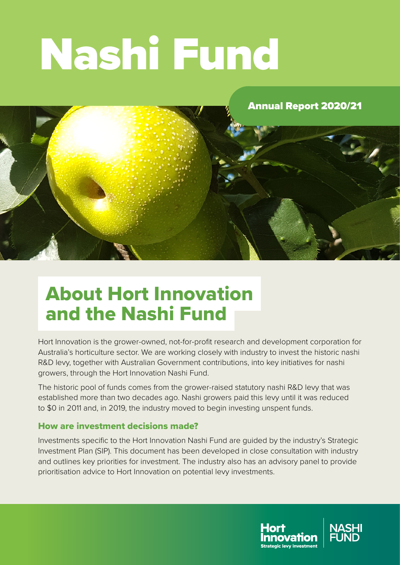# Nashi Fund

#### Annual Report 2020/21



### About Hort Innovation and the Nashi Fund

Hort Innovation is the grower-owned, not-for-profit research and development corporation for Australia's horticulture sector. We are working closely with industry to invest the historic nashi R&D levy, together with Australian Government contributions, into key initiatives for nashi growers, through the Hort Innovation Nashi Fund.

The historic pool of funds comes from the grower-raised statutory nashi R&D levy that was established more than two decades ago. Nashi growers paid this levy until it was reduced to \$0 in 2011 and, in 2019, the industry moved to begin investing unspent funds.

#### How are investment decisions made?

Investments specific to the Hort Innovation Nashi Fund are guided by the industry's Strategic Investment Plan (SIP). This document has been developed in close consultation with industry and outlines key priorities for investment. The industry also has an advisory panel to provide prioritisation advice to Hort Innovation on potential levy investments.



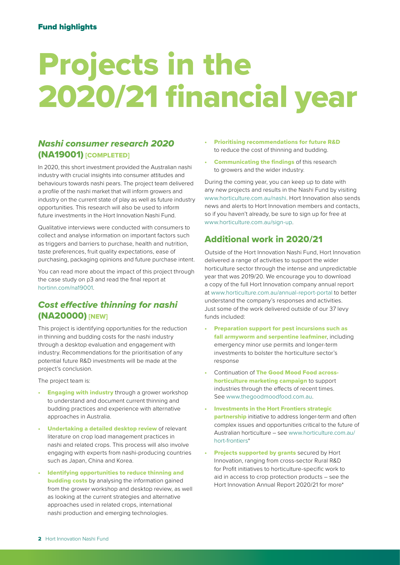## Projects in the 2020/21 financial year

#### *Nashi consumer research 2020* (NA19001) [COMPLETED]

In 2020, this short investment provided the Australian nashi industry with crucial insights into consumer attitudes and behaviours towards nashi pears. The project team delivered a profile of the nashi market that will inform growers and industry on the current state of play as well as future industry opportunities. This research will also be used to inform future investments in the Hort Innovation Nashi Fund.

Qualitative interviews were conducted with consumers to collect and analyse information on important factors such as triggers and barriers to purchase, health and nutrition, taste preferences, fruit quality expectations, ease of purchasing, packaging opinions and future purchase intent.

You can read more about the impact of this project through the case study on [p3](#page-2-0) and read the final report at [hortinn.com/na19001](http://hortinn.com/na19001).

#### *Cost effective thinning for nashi*  (NA20000) [NEW]

This project is identifying opportunities for the reduction in thinning and budding costs for the nashi industry through a desktop evaluation and engagement with industry. Recommendations for the prioritisation of any potential future R&D investments will be made at the project's conclusion.

The project team is:

- **Engaging with industry** through a grower workshop to understand and document current thinning and budding practices and experience with alternative approaches in Australia.
- Undertaking a detailed desktop review of relevant literature on crop load management practices in nashi and related crops. This process will also involve engaging with experts from nashi-producing countries such as Japan, China and Korea.
- Identifying opportunities to reduce thinning and **budding costs** by analysing the information gained from the grower workshop and desktop review, as well as looking at the current strategies and alternative approaches used in related crops, international nashi production and emerging technologies.
- Prioritising recommendations for future R&D to reduce the cost of thinning and budding.
- **Communicating the findings of this research** to growers and the wider industry.

During the coming year, you can keep up to date with any new projects and results in the Nashi Fund by visiting [www.horticulture.com.au/nashi](http://www.horticulture.com.au/nashi). Hort Innovation also sends news and alerts to Hort Innovation members and contacts, so if you haven't already, be sure to sign up for free at [www.horticulture.com.au/sign-up](http://www.horticulture.com.au/sign-up).

#### Additional work in 2020/21

Outside of the Hort Innovation Nashi Fund, Hort Innovation delivered a range of activities to support the wider horticulture sector through the intense and unpredictable year that was 2019/20. We encourage you to download a copy of the full Hort Innovation company annual report at [www.horticulture.com.au/annual-report-portal](http://www.horticulture.com.au/annual-report-portal) to better understand the company's responses and activities. Just some of the work delivered outside of our 37 levy funds included:

- Preparation support for pest incursions such as fall armyworm and serpentine leafminer, including emergency minor use permits and longer-term investments to bolster the horticulture sector's response
- Continuation of The Good Mood Food acrosshorticulture marketing campaign to support industries through the effects of recent times. See [www.thegoodmoodfood.com.au.](http://www.thegoodmoodfood.com.au)
- Investments in the Hort Frontiers strategic **partnership** initiative to address longer-term and often complex issues and opportunities critical to the future of Australian horticulture – see [www.horticulture.com.au/](http://www.horticulture.com.au/hort-frontiers) [hort-frontiers](http://www.horticulture.com.au/hort-frontiers)\*
- Projects supported by grants secured by Hort Innovation, ranging from cross-sector Rural R&D for Profit initiatives to horticulture-specific work to aid in access to crop protection products – see the Hort Innovation Annual Report 2020/21 for more\*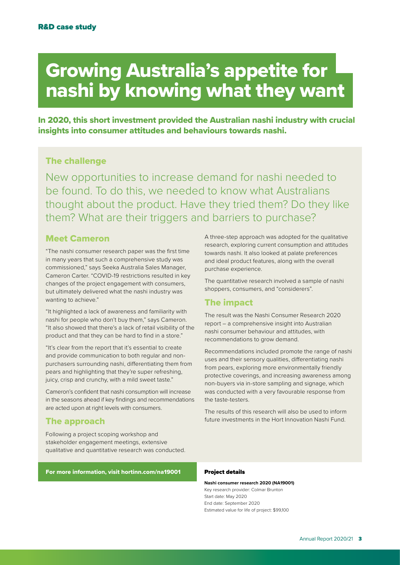## <span id="page-2-0"></span>Growing Australia's appetite for nashi by knowing what they want

In 2020, this short investment provided the Australian nashi industry with crucial insights into consumer attitudes and behaviours towards nashi.

#### The challenge

New opportunities to increase demand for nashi needed to be found. To do this, we needed to know what Australians thought about the product. Have they tried them? Do they like them? What are their triggers and barriers to purchase?

#### Meet Cameron

"The nashi consumer research paper was the first time in many years that such a comprehensive study was commissioned," says Seeka Australia Sales Manager, Cameron Carter. "COVID-19 restrictions resulted in key changes of the project engagement with consumers, but ultimately delivered what the nashi industry was wanting to achieve."

"It highlighted a lack of awareness and familiarity with nashi for people who don't buy them," says Cameron. "It also showed that there's a lack of retail visibility of the product and that they can be hard to find in a store."

"It's clear from the report that it's essential to create and provide communication to both regular and nonpurchasers surrounding nashi, differentiating them from pears and highlighting that they're super refreshing, juicy, crisp and crunchy, with a mild sweet taste."

Cameron's confident that nashi consumption will increase in the seasons ahead if key findings and recommendations are acted upon at right levels with consumers.

#### The approach

Following a project scoping workshop and stakeholder engagement meetings, extensive qualitative and quantitative research was conducted.

#### For more information, visit [hortinn.com/na19001](http://hortinn.com/na19001)

A three-step approach was adopted for the qualitative research, exploring current consumption and attitudes towards nashi. It also looked at palate preferences and ideal product features, along with the overall purchase experience.

The quantitative research involved a sample of nashi shoppers, consumers, and "considerers".

#### The impact

The result was the Nashi Consumer Research 2020 report – a comprehensive insight into Australian nashi consumer behaviour and attitudes, with recommendations to grow demand.

Recommendations included promote the range of nashi uses and their sensory qualities, differentiating nashi from pears, exploring more environmentally friendly protective coverings, and increasing awareness among non-buyers via in-store sampling and signage, which was conducted with a very favourable response from the taste-testers.

The results of this research will also be used to inform future investments in the Hort Innovation Nashi Fund.

#### Project details

**Nashi consumer research 2020 (NA19001)** Key research provider: Colmar Brunton Start date: May 2020 End date: September 2020 Estimated value for life of project: \$99,100